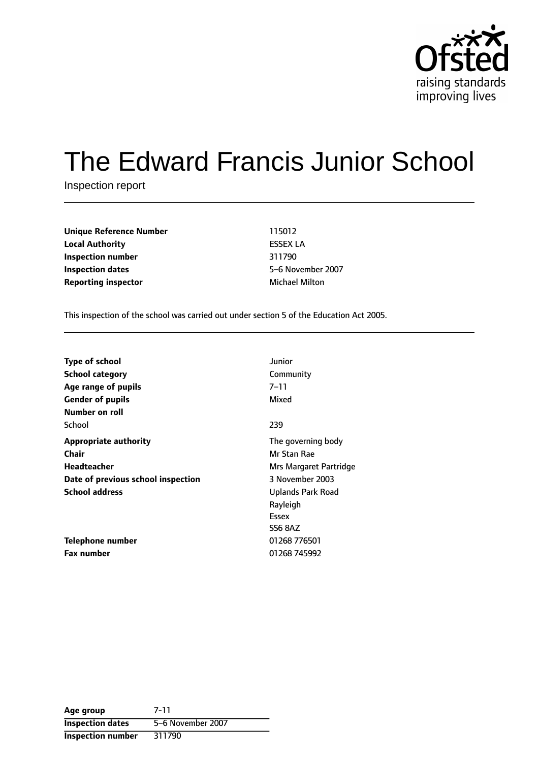

# The Edward Francis Junior School

Inspection report

**Unique Reference Number** 115012 **Local Authority** ESSEX LA **Inspection number** 311790 **Inspection dates** 5-6 November 2007 **Reporting inspector** Michael Milton

This inspection of the school was carried out under section 5 of the Education Act 2005.

| <b>Type of school</b>              | Junior                 |
|------------------------------------|------------------------|
| <b>School category</b>             | Community              |
| Age range of pupils                | 7–11                   |
| <b>Gender of pupils</b>            | Mixed                  |
| Number on roll                     |                        |
| School                             | 239                    |
| <b>Appropriate authority</b>       | The governing body     |
| <b>Chair</b>                       | Mr Stan Rae            |
| Headteacher                        | Mrs Margaret Partridge |
| Date of previous school inspection | 3 November 2003        |
| <b>School address</b>              | Uplands Park Road      |
|                                    | Rayleigh               |
|                                    | Essex                  |
|                                    | <b>SS6 8AZ</b>         |
| Telephone number                   | 01268 776501           |
| Fax number                         | 01268 745992           |

**Age group** 7-11 **Inspection dates** 5-6 November 2007 **Inspection number** 311790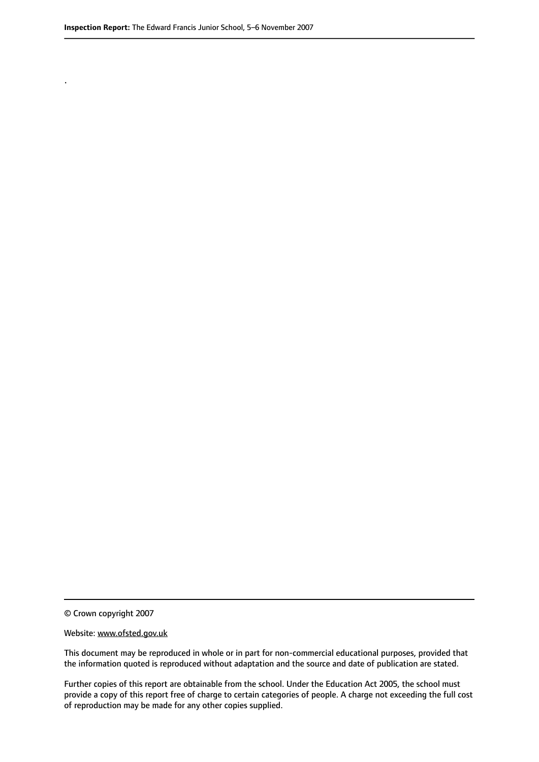.

© Crown copyright 2007

#### Website: www.ofsted.gov.uk

This document may be reproduced in whole or in part for non-commercial educational purposes, provided that the information quoted is reproduced without adaptation and the source and date of publication are stated.

Further copies of this report are obtainable from the school. Under the Education Act 2005, the school must provide a copy of this report free of charge to certain categories of people. A charge not exceeding the full cost of reproduction may be made for any other copies supplied.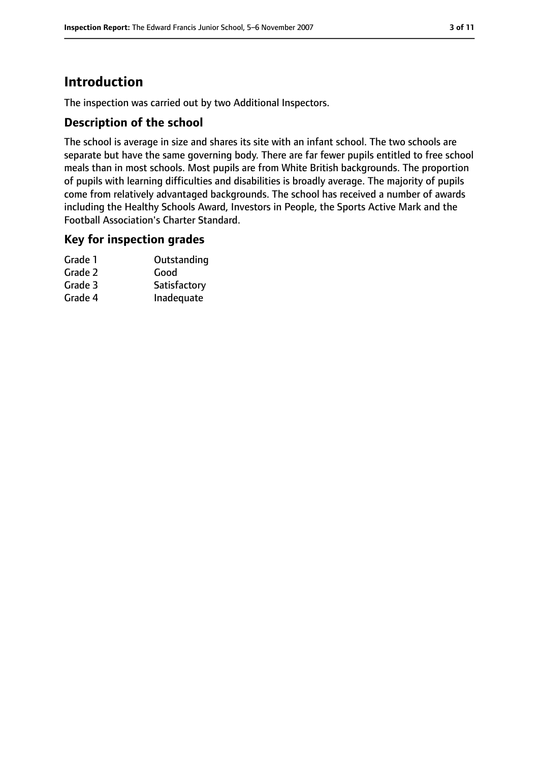# **Introduction**

The inspection was carried out by two Additional Inspectors.

#### **Description of the school**

The school is average in size and shares its site with an infant school. The two schools are separate but have the same governing body. There are far fewer pupils entitled to free school meals than in most schools. Most pupils are from White British backgrounds. The proportion of pupils with learning difficulties and disabilities is broadly average. The majority of pupils come from relatively advantaged backgrounds. The school has received a number of awards including the Healthy Schools Award, Investors in People, the Sports Active Mark and the Football Association's Charter Standard.

#### **Key for inspection grades**

| Grade 1 | Outstanding  |
|---------|--------------|
| Grade 2 | Good         |
| Grade 3 | Satisfactory |
| Grade 4 | Inadequate   |
|         |              |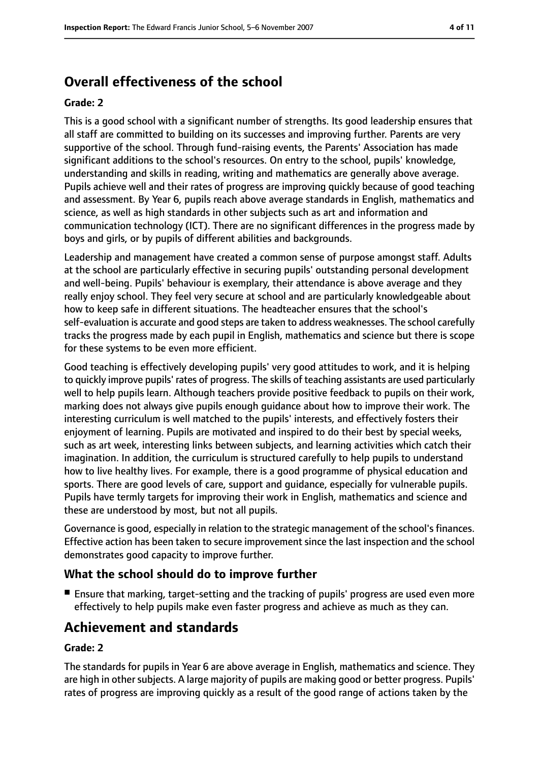# **Overall effectiveness of the school**

#### **Grade: 2**

This is a good school with a significant number of strengths. Its good leadership ensures that all staff are committed to building on its successes and improving further. Parents are very supportive of the school. Through fund-raising events, the Parents' Association has made significant additions to the school's resources. On entry to the school, pupils' knowledge, understanding and skills in reading, writing and mathematics are generally above average. Pupils achieve well and their rates of progress are improving quickly because of good teaching and assessment. By Year 6, pupils reach above average standards in English, mathematics and science, as well as high standards in other subjects such as art and information and communication technology (ICT). There are no significant differences in the progress made by boys and girls, or by pupils of different abilities and backgrounds.

Leadership and management have created a common sense of purpose amongst staff. Adults at the school are particularly effective in securing pupils' outstanding personal development and well-being. Pupils' behaviour is exemplary, their attendance is above average and they really enjoy school. They feel very secure at school and are particularly knowledgeable about how to keep safe in different situations. The headteacher ensures that the school's self-evaluation is accurate and good steps are taken to address weaknesses. The school carefully tracks the progress made by each pupil in English, mathematics and science but there is scope for these systems to be even more efficient.

Good teaching is effectively developing pupils' very good attitudes to work, and it is helping to quickly improve pupils' rates of progress. The skills of teaching assistants are used particularly well to help pupils learn. Although teachers provide positive feedback to pupils on their work, marking does not always give pupils enough guidance about how to improve their work. The interesting curriculum is well matched to the pupils' interests, and effectively fosters their enjoyment of learning. Pupils are motivated and inspired to do their best by special weeks, such as art week, interesting links between subjects, and learning activities which catch their imagination. In addition, the curriculum is structured carefully to help pupils to understand how to live healthy lives. For example, there is a good programme of physical education and sports. There are good levels of care, support and guidance, especially for vulnerable pupils. Pupils have termly targets for improving their work in English, mathematics and science and these are understood by most, but not all pupils.

Governance is good, especially in relation to the strategic management of the school's finances. Effective action has been taken to secure improvement since the last inspection and the school demonstrates good capacity to improve further.

#### **What the school should do to improve further**

■ Ensure that marking, target-setting and the tracking of pupils' progress are used even more effectively to help pupils make even faster progress and achieve as much as they can.

# **Achievement and standards**

#### **Grade: 2**

The standards for pupils in Year 6 are above average in English, mathematics and science. They are high in other subjects. A large majority of pupils are making good or better progress. Pupils' rates of progress are improving quickly as a result of the good range of actions taken by the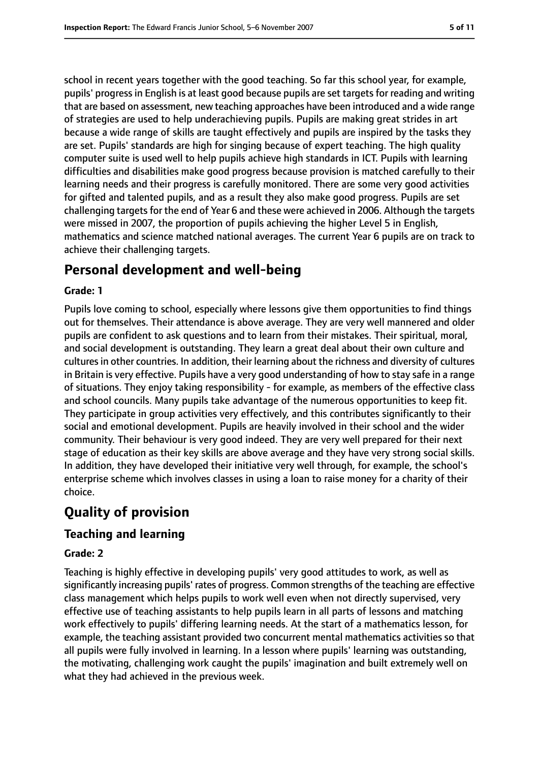school in recent years together with the good teaching. So far this school year, for example, pupils' progress in English is at least good because pupils are set targets for reading and writing that are based on assessment, new teaching approaches have been introduced and a wide range of strategies are used to help underachieving pupils. Pupils are making great strides in art because a wide range of skills are taught effectively and pupils are inspired by the tasks they are set. Pupils' standards are high for singing because of expert teaching. The high quality computer suite is used well to help pupils achieve high standards in ICT. Pupils with learning difficulties and disabilities make good progress because provision is matched carefully to their learning needs and their progress is carefully monitored. There are some very good activities for gifted and talented pupils, and as a result they also make good progress. Pupils are set challenging targets for the end of Year 6 and these were achieved in 2006. Although the targets were missed in 2007, the proportion of pupils achieving the higher Level 5 in English, mathematics and science matched national averages. The current Year 6 pupils are on track to achieve their challenging targets.

# **Personal development and well-being**

#### **Grade: 1**

Pupils love coming to school, especially where lessons give them opportunities to find things out for themselves. Their attendance is above average. They are very well mannered and older pupils are confident to ask questions and to learn from their mistakes. Their spiritual, moral, and social development is outstanding. They learn a great deal about their own culture and culturesin other countries. In addition, their learning about the richness and diversity of cultures in Britain is very effective. Pupils have a very good understanding of how to stay safe in a range of situations. They enjoy taking responsibility - for example, as members of the effective class and school councils. Many pupils take advantage of the numerous opportunities to keep fit. They participate in group activities very effectively, and this contributes significantly to their social and emotional development. Pupils are heavily involved in their school and the wider community. Their behaviour is very good indeed. They are very well prepared for their next stage of education as their key skills are above average and they have very strong social skills. In addition, they have developed their initiative very well through, for example, the school's enterprise scheme which involves classes in using a loan to raise money for a charity of their choice.

# **Quality of provision**

## **Teaching and learning**

#### **Grade: 2**

Teaching is highly effective in developing pupils' very good attitudes to work, as well as significantly increasing pupils' rates of progress. Common strengths of the teaching are effective class management which helps pupils to work well even when not directly supervised, very effective use of teaching assistants to help pupils learn in all parts of lessons and matching work effectively to pupils' differing learning needs. At the start of a mathematics lesson, for example, the teaching assistant provided two concurrent mental mathematics activities so that all pupils were fully involved in learning. In a lesson where pupils' learning was outstanding, the motivating, challenging work caught the pupils' imagination and built extremely well on what they had achieved in the previous week.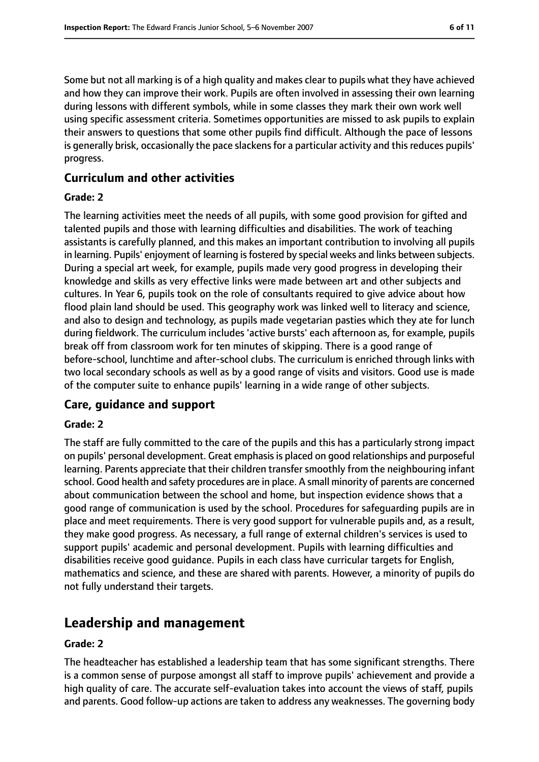Some but not all marking is of a high quality and makes clear to pupils what they have achieved and how they can improve their work. Pupils are often involved in assessing their own learning during lessons with different symbols, while in some classes they mark their own work well using specific assessment criteria. Sometimes opportunities are missed to ask pupils to explain their answers to questions that some other pupils find difficult. Although the pace of lessons is generally brisk, occasionally the pace slackens for a particular activity and this reduces pupils' progress.

#### **Curriculum and other activities**

#### **Grade: 2**

The learning activities meet the needs of all pupils, with some good provision for gifted and talented pupils and those with learning difficulties and disabilities. The work of teaching assistants is carefully planned, and this makes an important contribution to involving all pupils in learning. Pupils' enjoyment of learning is fostered by special weeks and links between subjects. During a special art week, for example, pupils made very good progress in developing their knowledge and skills as very effective links were made between art and other subjects and cultures. In Year 6, pupils took on the role of consultants required to give advice about how flood plain land should be used. This geography work was linked well to literacy and science, and also to design and technology, as pupils made vegetarian pasties which they ate for lunch during fieldwork. The curriculum includes 'active bursts' each afternoon as, for example, pupils break off from classroom work for ten minutes of skipping. There is a good range of before-school, lunchtime and after-school clubs. The curriculum is enriched through links with two local secondary schools as well as by a good range of visits and visitors. Good use is made of the computer suite to enhance pupils' learning in a wide range of other subjects.

#### **Care, guidance and support**

#### **Grade: 2**

The staff are fully committed to the care of the pupils and this has a particularly strong impact on pupils' personal development. Great emphasisis placed on good relationships and purposeful learning. Parents appreciate that their children transfer smoothly from the neighbouring infant school. Good health and safety procedures are in place. A small minority of parents are concerned about communication between the school and home, but inspection evidence shows that a good range of communication is used by the school. Procedures for safeguarding pupils are in place and meet requirements. There is very good support for vulnerable pupils and, as a result, they make good progress. As necessary, a full range of external children's services is used to support pupils' academic and personal development. Pupils with learning difficulties and disabilities receive good guidance. Pupils in each class have curricular targets for English, mathematics and science, and these are shared with parents. However, a minority of pupils do not fully understand their targets.

# **Leadership and management**

#### **Grade: 2**

The headteacher has established a leadership team that has some significant strengths. There is a common sense of purpose amongst all staff to improve pupils' achievement and provide a high quality of care. The accurate self-evaluation takes into account the views of staff, pupils and parents. Good follow-up actions are taken to address any weaknesses. The governing body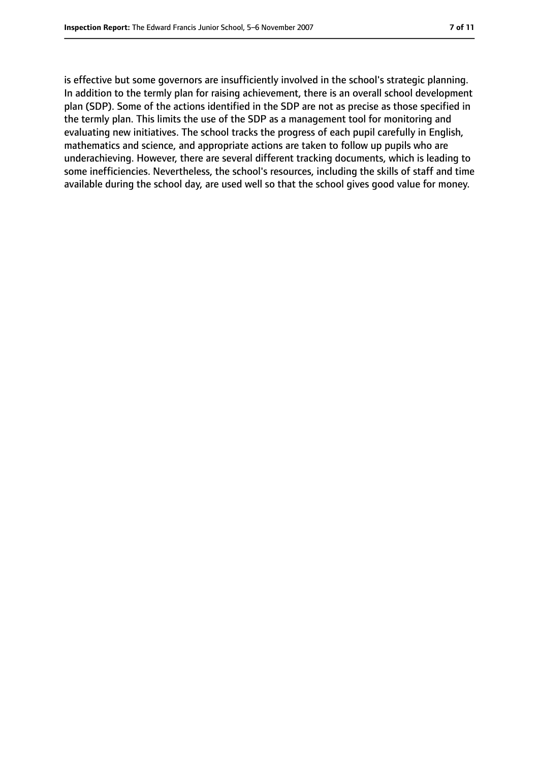is effective but some governors are insufficiently involved in the school's strategic planning. In addition to the termly plan for raising achievement, there is an overall school development plan (SDP). Some of the actions identified in the SDP are not as precise as those specified in the termly plan. This limits the use of the SDP as a management tool for monitoring and evaluating new initiatives. The school tracks the progress of each pupil carefully in English, mathematics and science, and appropriate actions are taken to follow up pupils who are underachieving. However, there are several different tracking documents, which is leading to some inefficiencies. Nevertheless, the school's resources, including the skills of staff and time available during the school day, are used well so that the school gives good value for money.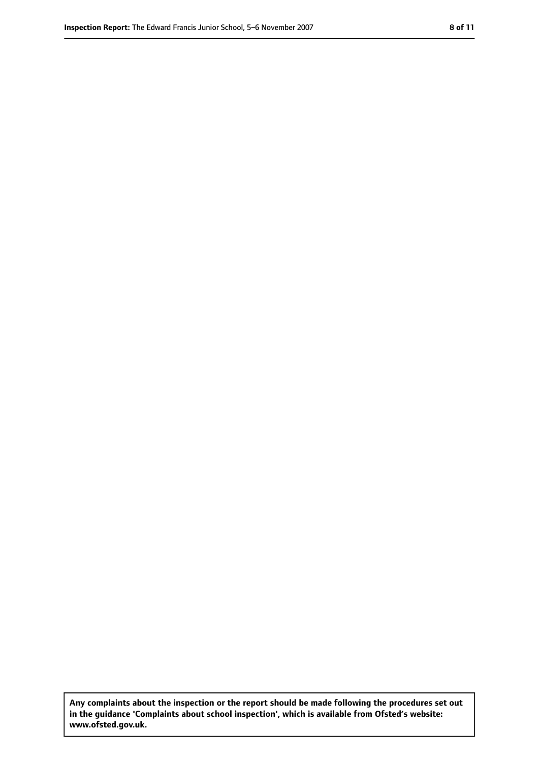**Any complaints about the inspection or the report should be made following the procedures set out in the guidance 'Complaints about school inspection', which is available from Ofsted's website: www.ofsted.gov.uk.**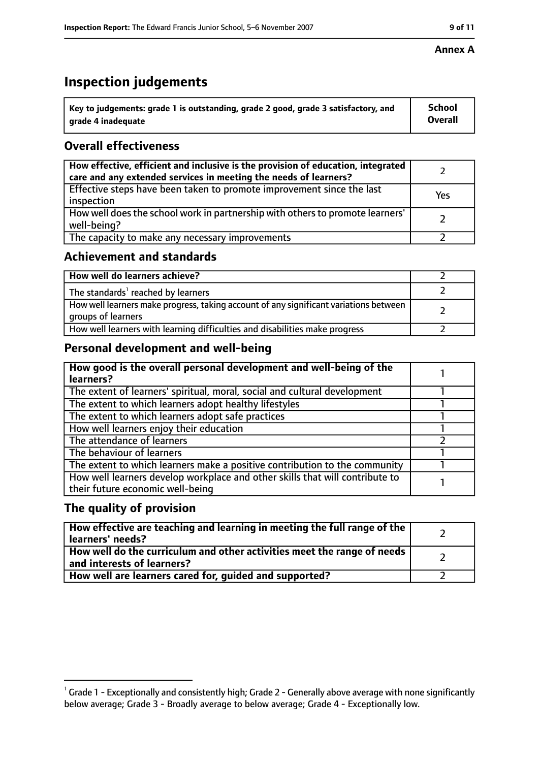# **Inspection judgements**

| $^{\backprime}$ Key to judgements: grade 1 is outstanding, grade 2 good, grade 3 satisfactory, and | School         |
|----------------------------------------------------------------------------------------------------|----------------|
| arade 4 inadeguate                                                                                 | <b>Overall</b> |

## **Overall effectiveness**

| How effective, efficient and inclusive is the provision of education, integrated<br>care and any extended services in meeting the needs of learners? |     |
|------------------------------------------------------------------------------------------------------------------------------------------------------|-----|
| Effective steps have been taken to promote improvement since the last<br>inspection                                                                  | Yes |
| How well does the school work in partnership with others to promote learners'<br>well-being?                                                         |     |
| The capacity to make any necessary improvements                                                                                                      |     |

## **Achievement and standards**

| How well do learners achieve?                                                                               |  |
|-------------------------------------------------------------------------------------------------------------|--|
| The standards <sup>1</sup> reached by learners                                                              |  |
| How well learners make progress, taking account of any significant variations between<br>groups of learners |  |
| How well learners with learning difficulties and disabilities make progress                                 |  |

## **Personal development and well-being**

| How good is the overall personal development and well-being of the<br>learners?                                  |  |
|------------------------------------------------------------------------------------------------------------------|--|
| The extent of learners' spiritual, moral, social and cultural development                                        |  |
| The extent to which learners adopt healthy lifestyles                                                            |  |
| The extent to which learners adopt safe practices                                                                |  |
| How well learners enjoy their education                                                                          |  |
| The attendance of learners                                                                                       |  |
| The behaviour of learners                                                                                        |  |
| The extent to which learners make a positive contribution to the community                                       |  |
| How well learners develop workplace and other skills that will contribute to<br>their future economic well-being |  |

## **The quality of provision**

| How effective are teaching and learning in meeting the full range of the<br>learners' needs?                     |  |
|------------------------------------------------------------------------------------------------------------------|--|
| How well do the curriculum and other activities meet the range of needs<br>$^{\rm t}$ and interests of learners? |  |
| How well are learners cared for, guided and supported?                                                           |  |

 $^1$  Grade 1 - Exceptionally and consistently high; Grade 2 - Generally above average with none significantly below average; Grade 3 - Broadly average to below average; Grade 4 - Exceptionally low.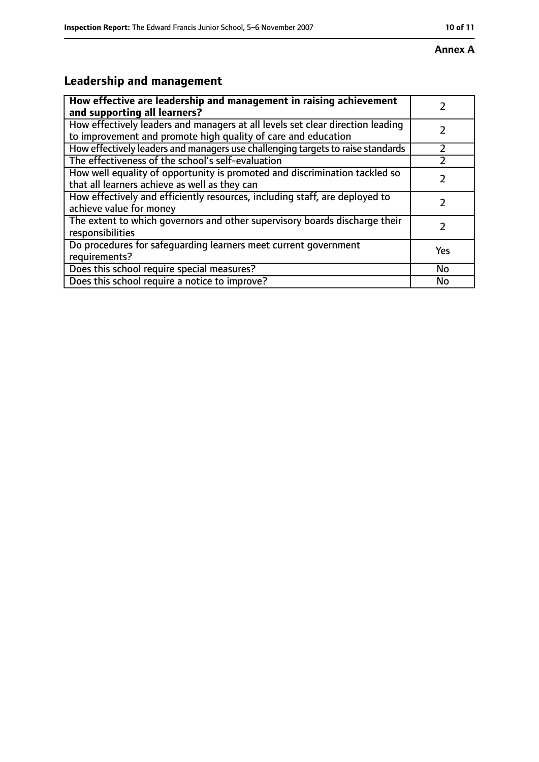#### **Annex A**

# **Leadership and management**

| How effective are leadership and management in raising achievement                                                                              |           |
|-------------------------------------------------------------------------------------------------------------------------------------------------|-----------|
| and supporting all learners?                                                                                                                    |           |
| How effectively leaders and managers at all levels set clear direction leading<br>to improvement and promote high quality of care and education |           |
| How effectively leaders and managers use challenging targets to raise standards                                                                 |           |
| The effectiveness of the school's self-evaluation                                                                                               |           |
| How well equality of opportunity is promoted and discrimination tackled so<br>that all learners achieve as well as they can                     |           |
| How effectively and efficiently resources, including staff, are deployed to<br>achieve value for money                                          | 7         |
| The extent to which governors and other supervisory boards discharge their<br>responsibilities                                                  | フ         |
| Do procedures for safequarding learners meet current government<br>requirements?                                                                | Yes       |
| Does this school require special measures?                                                                                                      | <b>No</b> |
| Does this school require a notice to improve?                                                                                                   | No        |